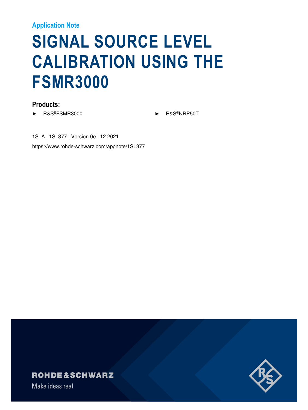### **Application Note**

# **SIGNAL SOURCE LEVEL CALIBRATION USING THE FSMR3000**

### **Products:**

- ► R&S®FSMR3000 ► R&S®NRP50T
	-

1SLA | 1SL377 | Version 0e | 12.2021

https://www.rohde-schwarz.com/appnote/1SL377

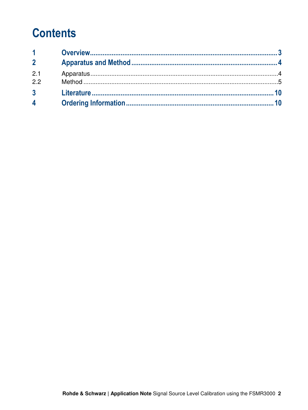# **Contents**

| $\overline{2}$ |  |
|----------------|--|
| 2.1            |  |
| 2.2            |  |
| $3^{\circ}$    |  |
| $\overline{4}$ |  |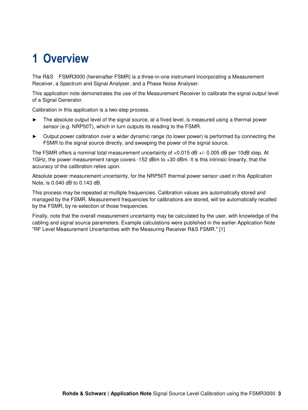## **1 Overview**

The R&S<sup>®</sup> FSMR3000 (hereinafter FSMR) is a three-in-one instrument incorporating a Measurement Receiver, a Spectrum and Signal Analyser, and a Phase Noise Analyser.

This application note demonstrates the use of the Measurement Receiver to calibrate the signal output level of a Signal Generator.

Calibration in this application is a two-step process.

- The absolute output level of the signal source, at a fixed level, is measured using a thermal power sensor (e.g. NRP50T), which in turn outputs its reading to the FSMR.
- Output power calibration over a wider dynamic range (to lower power) is performed by connecting the FSMR to the signal source directly, and sweeping the power of the signal source.

The FSMR offers a nominal total measurement uncertainty of <0.015 dB +/- 0.005 dB per 10dB step. At 1GHz, the power measurement range covers -152 dBm to +30 dBm. It is this intrinsic linearity, that the accuracy of the calibration relies upon.

Absolute power measurement uncertainty, for the NRP50T thermal power sensor used in this Application Note, is 0.040 dB to 0.143 dB.

This process may be repeated at multiple frequencies. Calibration values are automatically stored and managed by the FSMR. Measurement frequencies for calibrations are stored, will be automatically recalled by the FSMR, by re-selection of those frequencies.

Finally, note that the overall measurement uncertainty may be calculated by the user, with knowledge of the cabling and signal source parameters. Example calculations were published in the earlier Application Note "RF Level Measurement Uncertainties with the Measuring Receiver R&S FSMR." [1]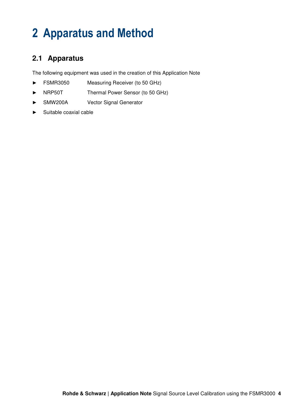# **2 Apparatus and Method**

### **2.1 Apparatus**

The following equipment was used in the creation of this Application Note

- ► FSMR3050 Measuring Receiver (to 50 GHz)
- ► NRP50T Thermal Power Sensor (to 50 GHz)
- ► SMW200A Vector Signal Generator
- ► Suitable coaxial cable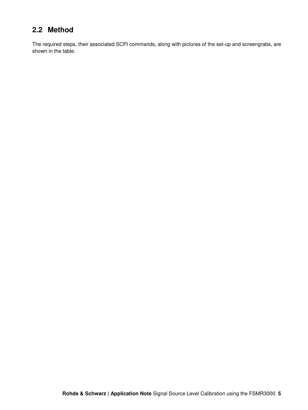### **2.2 Method**

The required steps, their associated SCPI commands, along with pictures of the set-up and screengrabs, are shown in the table.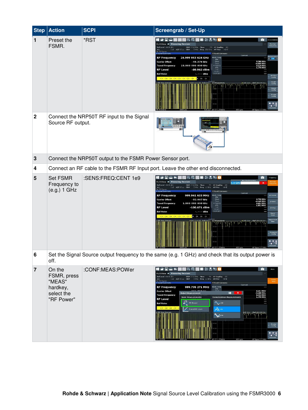| <b>Step</b>    | <b>Action</b>                                                                                              | <b>SCPI</b>                                                    | Screengrab / Set-Up                                                                                                                                                                                                                                                                                                                                                                                                                                                                                                                                                                                                                                                                                                                                                                                                                                |
|----------------|------------------------------------------------------------------------------------------------------------|----------------------------------------------------------------|----------------------------------------------------------------------------------------------------------------------------------------------------------------------------------------------------------------------------------------------------------------------------------------------------------------------------------------------------------------------------------------------------------------------------------------------------------------------------------------------------------------------------------------------------------------------------------------------------------------------------------------------------------------------------------------------------------------------------------------------------------------------------------------------------------------------------------------------------|
| $\mathbf{1}$   | Preset the<br>FSMR.                                                                                        | *RST                                                           | ■ 公 品 ト? ●<br>₩₩₽∟<br>Demodulatio<br>Multiview <b>II</b> Measuring Receiver<br>RefLevel -50.00 dBm<br>RBW 47.83 kHz Meas<br>AQT 80 µs DBW<br>5 MHz Freq 25.0 GHz<br><b>AF Filter</b><br>0dB<br>4 Result Summary<br>Current<br><b>RF Frequency</b><br>24.999 953 624 GHZ<br>Mod. Freq<br>$P$<br>Peak<br><b>Carrier Offset</b><br>$-46.376$ kHz<br><b>Tuned Frequency</b><br>25.000 000 000 GHz<br>$+$ -Peak/2<br>RMS<br><b>RF Level</b><br>-89.962 dBm<br>$T+O$<br>SINAD<br>DISTORT<br><b>Ref Value</b><br>$- - - -$ dBm<br>AF Filter<br>Config<br>$-170 - 160 - 150 - 140 - 130 - 120 - 110 - 100$<br>$-uv$<br>Result<br>Cunfig<br>Demod<br>Canfig<br>Display<br>Config<br>$\begin{array}{c}\n\hline\n\text{1.1}\n\end{array}$<br>$001$ <sub>D</sub> t                                                                                             |
| $\mathbf 2$    |                                                                                                            | Connect the NRP50T RF input to the Signal<br>Source RF output. |                                                                                                                                                                                                                                                                                                                                                                                                                                                                                                                                                                                                                                                                                                                                                                                                                                                    |
| 3              | Connect the NRP50T output to the FSMR Power Sensor port.                                                   |                                                                |                                                                                                                                                                                                                                                                                                                                                                                                                                                                                                                                                                                                                                                                                                                                                                                                                                                    |
| 4              |                                                                                                            |                                                                | Connect an RF cable to the FSMR RF Input port. Leave the other end disconnected.                                                                                                                                                                                                                                                                                                                                                                                                                                                                                                                                                                                                                                                                                                                                                                   |
| 5              | <b>Set FSMR</b><br>Frequency to<br>(e.g.) 1 GHz                                                            | :SENS:FREQ:CENT 1e9                                            | رت رکر<br>$2 + \frac{1}{2}$ $\sqrt{2}$<br>Ø.<br>Erequ<br>Multiview <b>E</b> Measuring Receiver<br>1.0 <sub>GHz</sub><br>$\boldsymbol{\mathsf{x}}$<br>Ref Level +50.00 dBn<br>RBW 47.83 kHz Meas<br>AF Coupling<br>AOT 80 us<br>5 MHz Freq 1.0 GHz AF Filter<br>HONE<br>A 66<br>4 Result Summary<br>2 Signal Summar<br>Current<br><b>RF Frequency</b><br>999.941 633 MHz<br>Mod. Freq<br>AF Cente<br><b>Carrier Offset</b><br>Peak<br>$-53.067$ kHz<br>$D_{\rm OCD}$<br>4.46 MHz<br>4.61 MHz<br>AP Start<br><b>Tuned Frequency</b><br>1.000 000 000 GHz<br>-Peak/2<br>RM<br><b>RF Level</b><br>$-100.671$ dBm<br>THD <sup></sup><br>AF Rtop<br><b>DISTORT</b><br><b>Ref Value</b><br>$- - - -$ dBm<br>Signal<br>Track<br>$-170 - 160 - 150 - 140 - 130 - 120 - 110$<br>$-90$<br>$-uv$<br>iyaal Track<br>Once<br>Frequer<br>Config<br>$\mathbb{R}^n$ |
| 6              | Set the Signal Source output frequency to the same (e.g. 1 GHz) and check that its output power is<br>off. |                                                                |                                                                                                                                                                                                                                                                                                                                                                                                                                                                                                                                                                                                                                                                                                                                                                                                                                                    |
| $\overline{7}$ | On the<br>FSMR, press<br>"MEAS"<br>hardkey,<br>select the<br>"RF Power"                                    | :CONF:MEAS:POWer                                               | 国公易约要<br><b>₩₩₩₩₩</b><br>医区<br>ы<br>Multiview <b>II</b> Measuring Receiver<br>Ref Level +50.00 dem<br>RBW 47.83 kHz. Meas<br>FM AF Coupling<br>OdB AQT 80 µs. DBW 5 MHz. Freq 1.0 GHz. AF Filter<br>NONE<br>Att<br>A 03 Byzas<br>2 Signal Summary<br>4 Result Summary<br>Current<br>Mod. Freq.<br><b>RF Frequency</b><br>999.735 271 MHz<br><b>FM</b><br><b>Carrier Offset</b><br>4.41 MHz<br>-4.28 MHz<br>4.35 MHz<br>1.79 MHz<br>$\mathsf{x}$<br><b>Select Measurement</b><br><b>Tuned Frequency</b><br><b>Basic Measurements</b><br><b>Demodulation Measurements</b><br><b>RF Level</b><br><b>VM</b><br><b>Ref Value</b><br><b>RF Power</b><br>$M_{\text{em}}$<br>Tuned RF-Level<br>AP City: Ref: 250 00 kHz<br>VPM<br>A.L.<br>Display<br>Config<br>$\frac{1}{2}$<br><b>AF OF 1.25 MH</b><br>1001 pts<br>AF Span 2.5 MHz                        |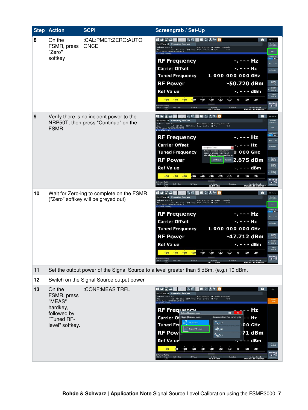| <b>Step</b> | <b>Action</b>                                                                               | <b>SCPI</b>                                                                      | Screengrab / Set-Up                                                                                                                                                                                                                                                                                                                                                                                                                                                                                                                                                                                                                                                                                                                                                                                                                                                                                                                                              |
|-------------|---------------------------------------------------------------------------------------------|----------------------------------------------------------------------------------|------------------------------------------------------------------------------------------------------------------------------------------------------------------------------------------------------------------------------------------------------------------------------------------------------------------------------------------------------------------------------------------------------------------------------------------------------------------------------------------------------------------------------------------------------------------------------------------------------------------------------------------------------------------------------------------------------------------------------------------------------------------------------------------------------------------------------------------------------------------------------------------------------------------------------------------------------------------|
| 8           | On the<br>FSMR, press<br>"Zero"<br>softkey                                                  | :CAL:PMET:ZERO:AUTO<br><b>ONCE</b>                                               | # 2 R L<br>国公易约0<br>$\bullet$<br>RE-Powe<br>Multiview <b>at</b> Measuring Receiver<br><b>Receiver</b><br>Frequenc<br>Ref Level +50.00 dBm<br>Meas RF-Power AF Coupling Not available<br>Att<br>4.173 Byposs PWR 101155 NRPSOT DBW Shiltz Freq 1.0 GHz AFFilter<br>Zero<br>Unit/Scule<br>Abs <sup>i</sup> - Kel<br><b>RF Frequency</b><br>-- Hz<br>Meas - Ji Ro<br><b>Carrier Offset</b><br>– – Hz<br>Ref Value<br><b>Tuned Frequency</b><br>1.000 000 000 GHz<br>Puwer<br>Kansar<br>Config<br><b>RF Power</b><br>-50.720 dBm<br><b>Power</b><br>Spittar<br>Cunfiy<br><b>Ref Value</b><br>-. - - - dBm<br>Display<br>Config<br>$-80$<br>$-70$<br>$-50$<br>20<br>$-60$<br>$-10$<br>10<br>$-40$<br>$-30$<br>$-20$<br>$\frac{1}{2}$<br>Marker Table<br>Ref Tro<br>X-Value<br>Function<br>Type<br>Overvley<br><b>Wnd</b><br>Y-Value<br><b>50.72 dB</b> m<br>Function Result<br><b>PWR101155 NRP50T</b>                                                                |
| 9           | <b>FSMR</b>                                                                                 | Verify there is no incident power to the<br>NRP50T, then press "Continue" on the | $\frac{1}{2}$ k <sub>2</sub><br>ઙ⊁<br><b>RE-Power</b><br>Multiview # Measuring Receiver<br>.<br>Frequen<br>Ref Level +50.00 dBm<br>AF Coupling Not svalable<br>AQT 80 µs DBW 5 MHz Freq 1.0 GHz AF Filter<br>Zero<br>A 133 Bypass PWR 101155 NRPSCT<br><b>Unit/Scuh</b><br><b>RF Frequency</b><br>- Hz<br>.<br>Meas -3 Re<br><b>Carrier Offset</b><br>Hz<br>Ref Value<br>Zeroing Power Sensor<br><b>Before zeroing the power</b><br><b>Tuned Frequency</b><br>0 000 GHz<br>sensor, please remove all<br>signals from the sensor input.<br><b>Power</b><br><b>Rensor</b><br>Config<br><b>RF Power</b><br>2.675 dBm<br>Continue<br>Cancel<br><b>Power</b><br>Spittar<br>Cunfiy<br><b>Ref Value</b><br>- - dBm<br>Display<br>Config<br>$-60$<br>-50<br>$-40$<br>$-30$<br>$-10$<br>$-80$<br>$-70$<br>$-20$<br>$\bullet$<br>10<br>20<br>H.<br>Marker Table<br>Ref Tre<br>X-Value<br>Type<br>Y-Value<br><b>52.68 dBn</b><br>Function Result<br><b>PWR101155 NRP50T</b> |
| 10          | Wait for Zero-ing to complete on the FSMR.<br>("Zero" softkey will be greyed out)           |                                                                                  | 国公易约<br>P) O<br>网网<br>RF-Pawer<br>Multiview # Measuring Receiver<br>Raceivar<br>Frequenc<br>Ref Level +50.00 dBn<br>Meas RE-Power AF Coupling Not available<br>Att 0 dB AQT 80 us DBW S MHz Freq 1.0 GHz AF Filter<br>NONE<br>Signal Summary<br>Unit/Scah<br><b>RF Frequency</b><br>Hz<br><b>Carrier Offset</b><br>-. - - - Hz<br><b>Ref Value</b><br><b>Tuned Frequency</b><br>1.000 000 000 GHz<br>Puwer<br>Santar<br>Config<br><b>RF Power</b><br>-47.712 dBm<br><b>Power</b><br>Spetter<br>Cunfig<br><b>Ref Value</b><br>-. - - - dBm<br>Display<br>Config<br>$-80$<br>$-70 -60$<br>$-50$<br>$-40$<br>$-30$<br>$-20$<br>$-10$<br>$\mathbf{o}$<br>10<br>20<br>$\cdots$<br><b>able</b><br>┅<br>Ref<br>Tre<br>Function<br>Type<br>Y-Value<br><b>12121 dBn</b><br>Function Result<br><b>PWR101155 NRP50T</b><br>Overview                                                                                                                                         |
| 11          |                                                                                             |                                                                                  | Set the output power of the Signal Source to a level greater than 5 dBm, (e.g.) 10 dBm.                                                                                                                                                                                                                                                                                                                                                                                                                                                                                                                                                                                                                                                                                                                                                                                                                                                                          |
| 12          | Switch on the Signal Source output power                                                    |                                                                                  |                                                                                                                                                                                                                                                                                                                                                                                                                                                                                                                                                                                                                                                                                                                                                                                                                                                                                                                                                                  |
| 13          | On the<br>FSMR, press<br>"MEAS"<br>hardkey,<br>followed by<br>"Tuned RF-<br>level" softkey. | :CONF:MEAS TRFL                                                                  | 国公息<br>Multiview <b>at</b> Measuring Receiver<br>Ref Level +50.00 dBr<br>AF Coupling Not avaiable<br>0 dB AQT 80 µs DBW 5 MHz Freq 1.0 GHz AF Filter<br>ass PWR 101155 NRP50T<br>NONE<br>A 031<br>Hz<br><b>RF Frequency</b><br>œ<br><b>Demodulation Measurements</b><br>- Hz<br>Carrier Of<br><b>VAM</b><br><b>Tuned Fre</b><br>DO GHZ<br>$M_{\text{EM}}$<br>Tuned RF-Level<br><b>RF Pow</b><br>71 dBm<br><b>V</b> PM<br><b>Ref Value</b><br>dBm<br>Display<br>Config<br>-70<br>$-60$<br>10<br>20<br>$-80$<br>$-50$<br>$-40$<br>-30<br>$-20$<br>$-10$<br>$\frac{1}{2}$<br>Marker Table<br>Ref Trc<br>X-Value<br>Wnd Type<br>ESPI<br>Function<br>Y-Value<br>-70.07 dBm<br>Function Result<br><b>PWR101155 NRP50T</b>                                                                                                                                                                                                                                              |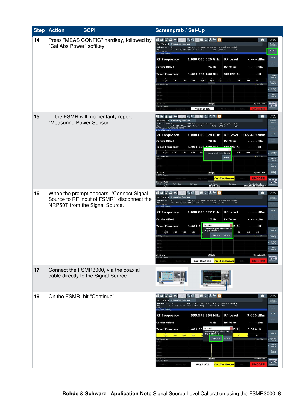| <b>Step</b> | <b>Action</b>            | <b>SCPI</b>                                                                                                               | Screengrab / Set-Up                                                                                                                                                                                                                                                                                                                                                                                                                                                                                                                                                                                                                                                                                                                                                                                                                                                                                                                                                                                                                                                                                                                                                          |
|-------------|--------------------------|---------------------------------------------------------------------------------------------------------------------------|------------------------------------------------------------------------------------------------------------------------------------------------------------------------------------------------------------------------------------------------------------------------------------------------------------------------------------------------------------------------------------------------------------------------------------------------------------------------------------------------------------------------------------------------------------------------------------------------------------------------------------------------------------------------------------------------------------------------------------------------------------------------------------------------------------------------------------------------------------------------------------------------------------------------------------------------------------------------------------------------------------------------------------------------------------------------------------------------------------------------------------------------------------------------------|
| 14          | "Cal Abs Power" softkey. | Press "MEAS CONFIG" hardkey, followed by                                                                                  | 国公易约要<br>HODO+<br>$\bullet$<br>Tuned<br>RF-Level<br>LG 20<br>Multiview <b>II</b> Measuring Receiver<br>Receiver<br>Frequenc<br>Ref Level +00.00 dBm<br>RBW 9.584 Hz Meas Tuned RF-Level AF Coupling Not evalable<br>0 dB AOT 400 ms<br>DBW 12.5 kHz Freq<br>1.0 GHz AF Filter<br>HONE<br>Att<br><b>Cal Abs</b><br>Pawer<br>A 1931<br>2 Sional Summary<br>Recal<br><b>RF Frequency</b><br>1.000 000 026 GHz<br><b>RF Level</b><br>-. -- - dBm<br><b>Carrier Offset</b><br>26 Hz<br><b>Ref Value</b><br>-. - - - dBm<br><b>Tuned Frequency</b><br>1.000 000 000 GHz<br>STD UNC(A)<br>$- - - -$ dB<br>Avenng<br>Config<br>$-130$<br>$-120$<br>$-80$<br>$-70$<br>$-150$<br>$-140$<br>$-110$<br>$-100$<br>$-90$<br>$-60$<br>$-50$<br>Corr Valu<br>Config<br>RF Spectrum<br>$+1$ AP Cirw<br>Genera<br>Canfig<br>Display<br>Confin<br>$\frac{m}{2}$<br>Span 12.5 kHz<br>CF 1.0 GHz<br>1001 pts<br><b>CORR Status</b><br>Overy<br>Avg 3 of 128<br><b>UNCORR</b>                                                                                                                                                                                                                      |
| 15          |                          | the FSMR will momentarily report<br>"Measuring Power Sensor"                                                              | Tuned<br>RF Level<br>$\blacksquare$ $\otimes$ $\blacksquare$ $\blacktriangle$ $\uparrow$ $\uparrow$<br>[o<br><b>Receiver</b><br>Frequency<br>Multiview <b>E Measuring Receiver</b><br>Ref Level - 00.00 dBm<br>RBW 9.584 Hz Meas Tuned RF-Level AF Coupling Not evalable<br>DBW 12.5 kHz Freq<br>AOT 400 ms<br>1.0 Gitz AF Filter<br>HONE<br>Att<br>$0$ dB<br>A 133 Bypass PWR 101155 NRPSCT<br>2 Sional Summary<br>Recal<br>1.000 000 028 GHz<br>$-165.459$ dBm<br><b>RF Frequency</b><br><b>RF Level</b><br><b>Carrier Offset</b><br>28 Hz<br><b>Ref Value</b><br>$- - - -$ dBm<br><b>Tuned Frequency</b><br>1.000000000000<br>STOMNC(A)<br>$- - - -$ dB<br>$-150$<br>$-130$<br>$-50$<br>$-140$<br>$-120$<br>$-70$<br>$-60$<br>Average<br>Config<br>$-11$<br><b>Measuring Power Sensor</b><br>3 RF Spectrum<br>$+1AP$ Clev<br>Abort<br>Corr Valu<br>Config<br>Genera<br>Canfig<br>Display<br>Config<br>CF 1.0 CHz<br>1001 pts<br>Span 12.5 kHz<br><b>4 CORR Status</b><br><b>Cal Abs Power</b><br><b>UNCORR</b><br>$\mathbb{R}^n$<br>Marker Table<br>Ref Trc<br>X-Value<br>Function<br>Type<br>Y-Value<br><b>45.20 dB</b> n≠<br>Function Result<br><b>PWR101155 NRP501</b> |
| 16          |                          | When the prompt appears, "Connect Signal<br>Source to RF input of FSMR", disconnect the<br>NRP50T from the Signal Source. | 28.5<br>2 FI<br>┺<br>Tuned<br>RF-Level<br>Le.<br>О<br>MultiView E Measuring Receiver<br>Receiver<br>Frequency<br>Ref Level +00.00 dBn<br>RBW 9.584 Hz Meas Tuned RF-Level AF Coupling Not evalable<br>0 dB AQT 400 ms DBW 12.5 kHz Freq<br>1.0 GHz AF Filte<br>HONE<br><b>A</b> 03.1<br>Recal<br><b>RF Frequency</b><br>1.000 000 027 GHz<br><b>RF Level</b><br>- - dBm<br><b>Carrier Offset</b><br>27 Hz<br><b>Ref Value</b><br>- . - - - dBm<br>Information<br>1.00000<br>C(A)<br><b>Tuned Frequency</b><br>$- - - -$ dB<br><b>Connect Signal Source to RF</b><br>Input of FSMR.<br>Average<br>Config<br>$-140$<br>$-130$<br>$-120$<br>$-150$<br>$-70$<br>-60<br>$-50$<br>Continue<br>Cancel<br>Corr Valu<br>Config<br>RF Spectrum<br>· LAP Cine<br>Genera<br>Canfig<br>Display<br>Confin<br>CF 1.0 GHz<br>Span 12.5 kHz<br>1001 pts<br>$\mathbf{u} \cdot \mathbf{v} \cdot \mathbf{g}$<br>$\begin{array}{c}\n\hline\n\downarrow \\ \hline\n\downarrow\n\end{array}$<br>Avg 16 of 128<br><b>Cal Abs Power</b><br><b>UNCORR</b>                                                                                                                                              |
| 17          |                          | Connect the FSMR3000, via the coaxial<br>cable directly to the Signal Source.                                             |                                                                                                                                                                                                                                                                                                                                                                                                                                                                                                                                                                                                                                                                                                                                                                                                                                                                                                                                                                                                                                                                                                                                                                              |
| 18          |                          | On the FSMR, hit "Continue".                                                                                              | 国公晶的<br>2 R L<br>- 12<br>o<br>Tuned<br>RF-Level<br><b>Raceival</b><br>Frequenc<br>MultiView <b>E</b> Measuring Receiver<br>Ref Level 30.00 dan<br>RBW 9.584 Hz. Meas Tuned RF-Level AF Coupling Not evalable<br>40 cf) AQT 400 ms DBW 12.5 kHz Freq<br>1.0 G tz AF Filter<br>NOHE<br>Att<br>VIG Bype<br>Signal Summar<br>Recal<br>9.666 dBm<br><b>RF Frequency</b><br>999.999 994 MHz<br><b>RF Level</b><br><b>Carrier Offset</b><br>$-6 Hz$<br><b>Ref Value</b><br>$  -$ dBm<br>1.000 00 Information<br>N(C(A))<br>0.000dB<br><b>Tuned Frequency</b><br><b>Connect Signal Source to RF</b><br>Avenng<br>Config<br><b>Input of FSMR.</b><br>$-70$<br>$-60$<br>$-50$<br>10<br>$-R0$<br>$\alpha$<br>20<br>Corr Val<br>Cancel<br>Continue<br>· LAP Cine<br><b>3 RF Spectrum</b><br>Genera<br>Canfig<br>Display<br>Config<br>CF 1.0 GHz<br>1001 pts<br>Span 12.5 kHz<br>$\mathbb{R}^n$<br><b>CORR Status</b><br><b>Cal Abs Power</b><br>Avg 1 of 1<br><b>UNCORR</b>                                                                                                                                                                                                              |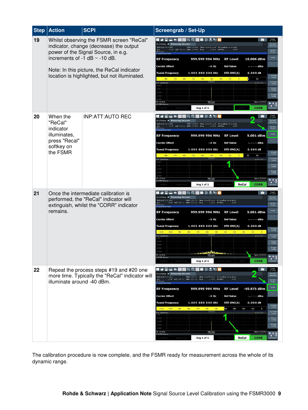| <b>Step</b> | <b>Action</b>                                                                                                                        | <b>SCPI</b>                                                                                                                                                                                                                                                     | Screengrab / Set-Up                                                                                                                                                                                                                                                                                                                                                                                                                                                                                                                                                                                                                                                                                                                                                                                                                                                                                                                      |
|-------------|--------------------------------------------------------------------------------------------------------------------------------------|-----------------------------------------------------------------------------------------------------------------------------------------------------------------------------------------------------------------------------------------------------------------|------------------------------------------------------------------------------------------------------------------------------------------------------------------------------------------------------------------------------------------------------------------------------------------------------------------------------------------------------------------------------------------------------------------------------------------------------------------------------------------------------------------------------------------------------------------------------------------------------------------------------------------------------------------------------------------------------------------------------------------------------------------------------------------------------------------------------------------------------------------------------------------------------------------------------------------|
| 19          |                                                                                                                                      | Whilst observing the FSMR screen "ReCal"<br>indicator, change (decrease) the output<br>power of the Signal Source, in e.g.<br>increments of -1 $dB \sim$ -10 dB.<br>Note: In this picture, the ReCal indicator<br>location is highlighted, but not illuminated. | HODL+<br>国公易约0<br>Tuned<br>RF-Level<br>ы<br><b>Raceival</b><br>Frequenc<br>Multiview # Measuring Receiver<br>Ref Level 30.00 dan<br>RBW 9.584 Hz Meas Tuned RF-Level AF Coupling Not evalable<br>AOT 400 ms DBW 12.5 kHz Freq<br>1.0 G tz AF Filter<br>NOHE<br>Att<br>40e6<br>Col Abs<br>Power<br>Signal Summary<br>Recall<br><b>RF Frequency</b><br><b>RF Level</b><br>10.006 dBm<br>999.999 994 MHz<br><b>Carrier Offset</b><br>$-6$ Hz<br><b>Ref Value</b><br>-. - - - dBm<br><b>Tuned Frequency</b><br>1.000 000 000 GHz<br>STD UNC(A)<br>0.000dB<br>Avenage<br>Config<br>$\bullet$<br>20<br>-80<br>$-70$<br>$-60$<br>$-50$<br>$-40$<br>-30<br>$-20$<br>$-10$<br>пb<br>Corr Vali<br>Config<br>. TAP CINE<br><b>3 RF Spectrum</b><br>Genera<br>Canfig<br>Display<br>Config<br>$2F1.0$ GHz<br>1001 pts<br>Span 12.5 kHz<br>$\frac{1}{2}$<br><b>CORR Statt</b><br>Avg 1 of 1<br><b>CORR</b><br>Overvies                                 |
| 20          | When the<br>"ReCal"<br>indicator<br>illuminates,<br>press "Recal"<br>softkey on<br>the FSMR                                          | <b>INP:ATT:AUTO REC</b>                                                                                                                                                                                                                                         | Tuned<br>RF-Level<br>Raceiva<br>Frequeni<br>RefLe<br>Tuned RF-Level AF Coupling Not evalable<br><b>RBW 9.584 Hz</b><br>40 c6 AQT 400 ms<br>DBW 12.5 kHz Freq<br>1.0 G tz AF Filter<br>Att<br><b>Col Abs</b><br>Power<br>yla By<br>Signal Summar<br><b>Recall</b><br>5.001 dBm<br><b>RF Frequency</b><br>999.999 994 MHz<br><b>RF Level</b><br><b>Carrier Offset</b><br>- 6 Hz<br><b>Ref Value</b><br>-. - - - dBm<br>1.000 000 000 GHz<br>STD UNC(A)<br>0.000dB<br><b>Tuned Frequency</b><br>Avenage<br>Config<br>10<br>$-60$<br>$-50$<br>$-40$<br>$-20$<br>$-10$<br>20<br>-Rn<br>$-30$<br>Corr Val<br>Config<br>3 RF Spectrum<br>· LAP Cine<br>Genera<br>Canfig<br>Display<br>Confin<br>CF 1.0 GHz<br>1001 pts<br>Span 12.5 kHz<br>$\frac{1}{2}$<br>4 CORR Status<br>Avg 1 of 1<br>ReCal<br><b>CORR</b>                                                                                                                                 |
| 21          | Once the intermediate calibration is<br>performed, the "ReCal" indicator will<br>extinguish, whilst the "CORR" indicator<br>remains. |                                                                                                                                                                                                                                                                 | Tuned<br>RF-Level<br>2 F C<br>国公県<br>Receiver<br>Frequenc<br>Multiview = Measuring Receiver<br>$\leq 00$ dBm<br>RBW 9.564 Hz Meas Tuned RE-Level<br>AF Coupling Not available<br>15:89 AQT 400 ms DBW 12:5 kHz Freq<br>: 0 GHz AF Filter<br><b>NONE</b><br><b>Col Abs</b><br>Power<br>Recal<br><b>RF Frequency</b><br><b>RF Level</b><br>5.001 dBm<br>999.999 994 MHz<br><b>Carrier Offset</b><br><b>Ref Value</b><br>$-6$ Hz<br>$-$ , $ -$ dBm<br>STD UNC(A)<br>1.000 000 000 GHz<br>0.000dB<br><b>Tuned Frequency</b><br>Average<br>Config<br>$-110$<br>$-20$<br>$\mathbf{a}$<br>$-100$<br>$-90$<br>$-80$<br>$-70$<br>$-60$<br>$-50$<br>$-40$<br>$-30$<br>$-10$<br>Corr Vali<br>Config<br>3 RF Spectrum<br>· LAP Cine<br>Genera<br>Canfig<br>Displat<br>Confir<br>CF 1.0 GHz<br>Span 12.5 kHz<br>$\mathbf{B} \cdot \mathbf{B} \cdot \mathbf{I}$<br>⊷∎∕*≣<br>Avg 1 of 1<br><b>CORR</b><br>Overview                                      |
| 22          | Repeat the process steps #19 and #20 one<br>more time. Typically the "ReCal" indicator will<br>illuminate around -40 dBm.            |                                                                                                                                                                                                                                                                 | $F = 2 +$<br>国公易的<br>Tuned<br>RF Level<br>Let Let<br>ГoТ<br>Multiview # Measuring Receiver<br><b>Receiver</b><br>Frequency<br>RefLevel 5.00 d5m<br>RBW 9.564 Hz Meas Tuned RF-Level AF Coupling Not available<br>Att<br>15.89 AQT 400 ms DBW 12.5 kHz Freq<br>10 GHz AF Filter<br><b>NONE</b><br>Col Abs<br><b>YIG DV</b><br>2 Signal Summary<br>Recal<br>-40.975 dBm<br>999.999 994 MHz<br><b>RF Level</b><br><b>RF Frequency</b><br><b>Carrier Offset</b><br>$-6 Hz$<br><b>Ref Value</b><br>-. - - - dBm<br>STD UNC(A)<br><b>Tuned Frequency</b><br>1.000 000 000 GHz<br>0.000dB<br>Average<br>Config<br>40<br>$-30$<br>$-100$<br>$-90$<br>$-70$<br>$-20$<br>$-10$<br>$\mathbf{o}$<br>$-110$<br>$-80$<br>$-60$<br>$-50$<br>Corr Valu<br>Cunfiq<br>. LAP Cine<br><b>3 RF Spectrum</b><br>Genera<br>Config<br>Display<br>Config<br>Span 12.5 kHz<br>CF 1.0 GHz<br>1001 pts<br><b>4 CORR Status</b><br>Avg 1 of 1<br>ReCal<br><b>CORR</b> |

The calibration procedure is now complete, and the FSMR ready for measurement across the whole of its dynamic range.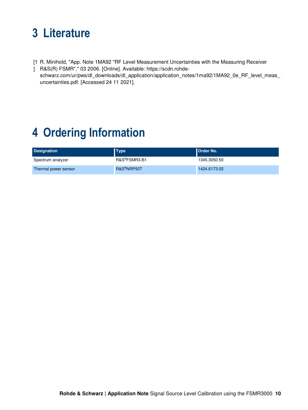# **3 Literature**

[1 R. Minihold, "App. Note 1MA92 "RF Level Measurement Uncertainties with the Measuring Receiver

] R&S(R) FSMR"," 03 2006. [Online]. Available: https://scdn.rohdeschwarz.com/ur/pws/dl\_downloads/dl\_application/application\_notes/1ma92/1MA92\_0e\_RF\_level\_meas\_ uncertainties.pdf. [Accessed 24 11 2021].

# **4 Ordering Information**

| <b>Designation</b>   | <b>Type</b>             | <b>Order No.</b> |
|----------------------|-------------------------|------------------|
| Spectrum analyzer    | R&S®FSMR3-B1            | 1345.3050.50     |
| Thermal power sensor | R&S <sup>®</sup> NRP50T | 1424.6173.02     |